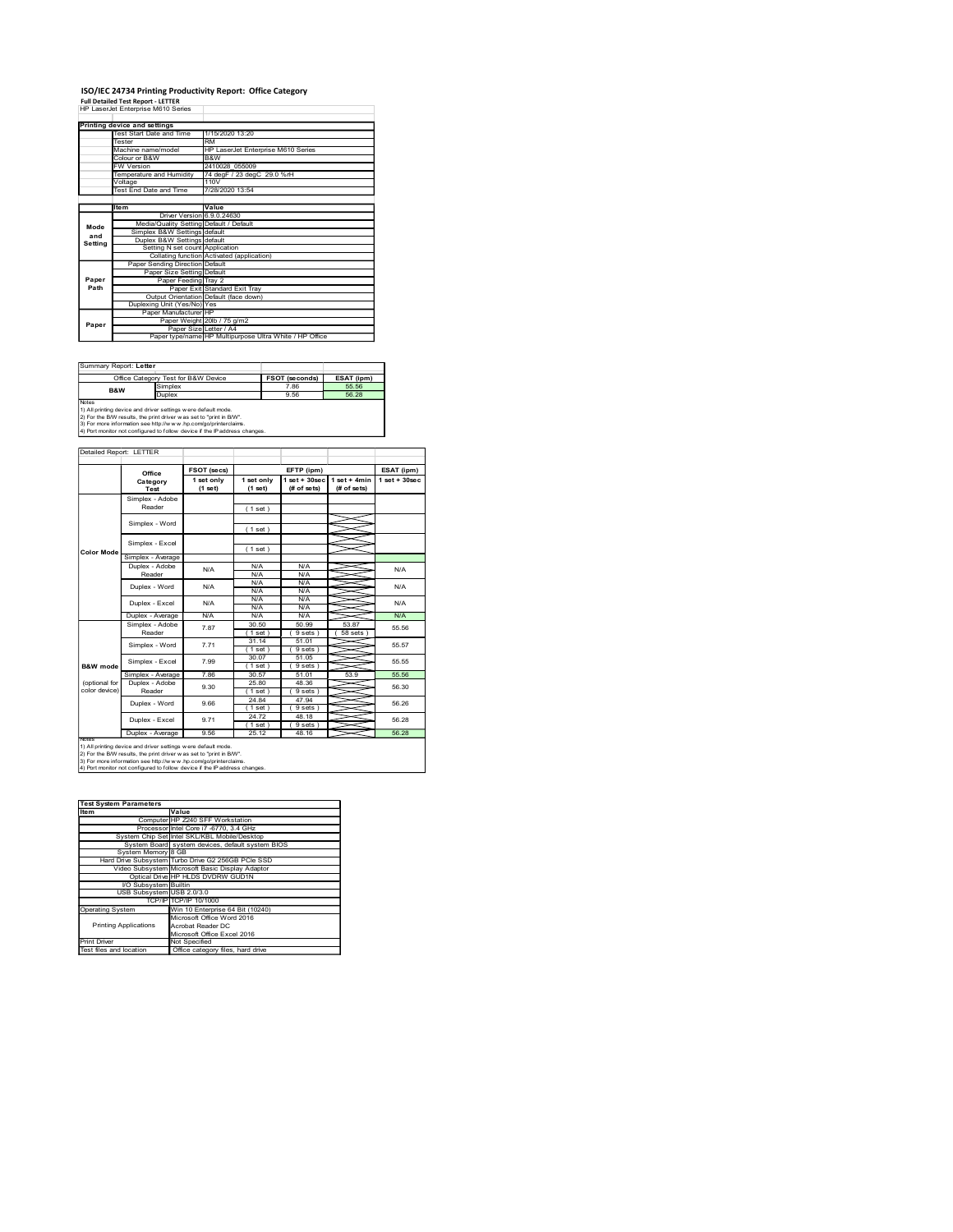### ISO/IEC 24734 Printing Productivity Report: Office Category Full Detailed Test Report - LETTER

|                         | ISO/IEC 24734 Printing Productivity Report: Office Category                                                                                   |                                                                                   |                                    |                                                 |                |                  |
|-------------------------|-----------------------------------------------------------------------------------------------------------------------------------------------|-----------------------------------------------------------------------------------|------------------------------------|-------------------------------------------------|----------------|------------------|
|                         | <b>Full Detailed Test Report - LETTER</b><br>HP LaserJet Enterprise M610 Series                                                               |                                                                                   |                                    |                                                 |                |                  |
|                         | Printing device and settings<br>Test Start Date and Time                                                                                      | 1/15/2020 13:20                                                                   |                                    |                                                 |                |                  |
|                         | Tester<br>Machine name/model                                                                                                                  | <b>RM</b>                                                                         | HP LaserJet Enterprise M610 Series |                                                 |                |                  |
|                         | Colour or B&W<br>W Version                                                                                                                    | B&W<br>2410028_055009                                                             |                                    |                                                 |                |                  |
|                         | Temperature and Humidity<br>Voltage<br>Test End Date and Time                                                                                 | 110V<br>7/28/2020 13:54                                                           | 74 degF / 23 degC 29.0 %rH         |                                                 |                |                  |
|                         | ltem                                                                                                                                          | Value                                                                             |                                    |                                                 |                |                  |
| Mode                    |                                                                                                                                               | Driver Version 6.9.0.24630<br>Media/Quality Setting Default / Default             |                                    |                                                 |                |                  |
| and<br>Setting          | Simplex B&W Settings default<br>Duplex B&W Settings default                                                                                   | Setting N set count Application                                                   |                                    |                                                 |                |                  |
|                         | Paper Sending Direction Default                                                                                                               | Collating function Activated (application)                                        |                                    |                                                 |                |                  |
| Paper                   |                                                                                                                                               | Paper Size Setting Default<br>Paper Feeding Tray 2                                |                                    |                                                 |                |                  |
| Path                    | Duplexing Unit (Yes/No) Yes                                                                                                                   | Paper Exit Standard Exit Tray<br>Output Orientation Default (face down)           |                                    |                                                 |                |                  |
| Paper                   | Paper Manufacturer HP                                                                                                                         | Paper Weight 20lb / 75 g/m2                                                       |                                    |                                                 |                |                  |
|                         |                                                                                                                                               | Paper Size Letter / A4<br>Paper type/name HP Multipurpose Ultra White / HP Office |                                    |                                                 |                |                  |
|                         |                                                                                                                                               |                                                                                   |                                    |                                                 |                |                  |
| Summary Report: Letter  | Office Category Test for B&W Device                                                                                                           |                                                                                   |                                    | <b>FSOT (seconds)</b>                           | ESAT (ipm)     |                  |
| B&W<br>Notes            | Simplex<br>Duplex                                                                                                                             |                                                                                   |                                    | 7.86<br>9.56                                    | 55.56<br>56.28 |                  |
|                         | 1) All printing device and driver settings were default mode.<br>2) For the B/W results, the print driver was set to "print in B/W".          |                                                                                   |                                    |                                                 |                |                  |
|                         | 3) For more information see http://www.hp.com/go/printerclaims.<br>4) Port monitor not configured to follow device if the IP address changes. |                                                                                   |                                    |                                                 |                |                  |
|                         |                                                                                                                                               |                                                                                   |                                    |                                                 |                |                  |
| Detailed Report: LETTER |                                                                                                                                               |                                                                                   |                                    | EFTP (ipm)                                      |                | ESAT (ipm)       |
|                         | Office                                                                                                                                        | FSOT (secs)                                                                       |                                    |                                                 |                | $1 set + 30 sec$ |
|                         | Category<br><b>Test</b>                                                                                                                       | 1 set only<br>(1 <sub>set</sub> )                                                 | 1 set only<br>(1 set)              | $1 set + 30 sec$ $1 set + 4 min$<br>(# of sets) | (# of sets)    |                  |
|                         | Simplex - Adobe<br>Reader                                                                                                                     |                                                                                   | (1 set)                            |                                                 |                |                  |
|                         | Simplex - Word                                                                                                                                |                                                                                   | (1 set)                            |                                                 |                |                  |
| Color Mode              | Simplex - Excel<br>Simplex - Average                                                                                                          |                                                                                   | (1 set)                            |                                                 |                |                  |

| Summary Report: Letter |                                                                                                                                                                                                                                                                                          |                       |            |
|------------------------|------------------------------------------------------------------------------------------------------------------------------------------------------------------------------------------------------------------------------------------------------------------------------------------|-----------------------|------------|
|                        | Office Category Test for B&W Device                                                                                                                                                                                                                                                      | <b>FSOT (seconds)</b> | ESAT (ipm) |
| <b>B&amp;W</b>         | Simplex                                                                                                                                                                                                                                                                                  | 7.86                  | 55.56      |
|                        | <b>Duplex</b>                                                                                                                                                                                                                                                                            | 9.56                  | 56.28      |
| <b>Notes</b>           | 1) All printing device and driver settings were default mode.<br>2) For the B/W results, the print driver was set to "print in B/W".<br>3) For more information see http://w w w .hp.com/go/printerclaims.<br>4) Port monitor not configured to follow device if the IP address changes. |                       |            |

|                                | B&W<br>Colour or B&W<br>FW Version<br>2410028_055009                                                                                          |                                                                               |                            |                               |                     |                 |
|--------------------------------|-----------------------------------------------------------------------------------------------------------------------------------------------|-------------------------------------------------------------------------------|----------------------------|-------------------------------|---------------------|-----------------|
|                                | Temperature and Humidity                                                                                                                      |                                                                               | 74 degF / 23 degC 29.0 %rH |                               |                     |                 |
|                                | /oltage<br>Test End Date and Time                                                                                                             | 110V<br>7/28/2020 13:54                                                       |                            |                               |                     |                 |
|                                |                                                                                                                                               |                                                                               |                            |                               |                     |                 |
|                                | ltem                                                                                                                                          | Value                                                                         |                            |                               |                     |                 |
|                                | <b>Driver Version</b><br>Media/Quality Setting Default / Default                                                                              | 6.9.0.24630                                                                   |                            |                               |                     |                 |
| Mode<br>and                    | Simplex B&W Settings default                                                                                                                  |                                                                               |                            |                               |                     |                 |
| Setting                        | Duplex B&W Settings default                                                                                                                   |                                                                               |                            |                               |                     |                 |
|                                |                                                                                                                                               | Setting N set count Application<br>Collating function Activated (application) |                            |                               |                     |                 |
|                                | Paper Sending Direction Default                                                                                                               |                                                                               |                            |                               |                     |                 |
|                                |                                                                                                                                               | Paper Size Setting Default                                                    |                            |                               |                     |                 |
| Paper<br>Path                  |                                                                                                                                               | Paper Feeding Tray 2                                                          |                            |                               |                     |                 |
|                                |                                                                                                                                               | Paper Exit Standard Exit Tray<br>Output Orientation Default (face down)       |                            |                               |                     |                 |
|                                | Duplexing Unit (Yes/No) Yes                                                                                                                   |                                                                               |                            |                               |                     |                 |
|                                | Paper Manufacturer                                                                                                                            | НP<br>Paper Weight 20lb / 75 g/m2                                             |                            |                               |                     |                 |
| Paper                          |                                                                                                                                               | Paper Size Letter / A4                                                        |                            |                               |                     |                 |
|                                |                                                                                                                                               | Paper type/name HP Multipurpose Ultra White / HP Office                       |                            |                               |                     |                 |
|                                |                                                                                                                                               |                                                                               |                            |                               |                     |                 |
|                                |                                                                                                                                               |                                                                               |                            |                               |                     |                 |
| Summary Report: Letter         |                                                                                                                                               |                                                                               |                            |                               |                     |                 |
|                                | Office Category Test for B&W Device<br>Simplex                                                                                                |                                                                               |                            | <b>FSOT (seconds)</b><br>7.86 | ESAT (ipm)<br>55.56 |                 |
| B&W                            | Duplex                                                                                                                                        |                                                                               |                            | 9.56                          | 56.28               |                 |
| Notes                          |                                                                                                                                               |                                                                               |                            |                               |                     |                 |
|                                | 1) All printing device and driver settings were default mode.<br>2) For the B/W results, the print driver was set to "print in B/W".          |                                                                               |                            |                               |                     |                 |
|                                | 3) For more information see http://www.hp.com/go/printerclaims.<br>4) Port monitor not configured to follow device if the IP address changes. |                                                                               |                            |                               |                     |                 |
|                                |                                                                                                                                               |                                                                               |                            |                               |                     |                 |
|                                | Detailed Report: LETTER                                                                                                                       |                                                                               |                            |                               |                     |                 |
|                                |                                                                                                                                               |                                                                               |                            |                               |                     |                 |
|                                | Office                                                                                                                                        | FSOT (secs)                                                                   |                            | EFTP (ipm)                    |                     |                 |
|                                | Category                                                                                                                                      | 1 set only                                                                    | 1 set only                 | $1 set + 30 sec$              | $1 set + 4 min$     | $1$ set + 30sec |
|                                | Test                                                                                                                                          | $(1$ set)                                                                     | (1 set)                    | $#$ of sets)                  | (# of sets)         |                 |
|                                | Simplex - Adobe<br>Reader                                                                                                                     |                                                                               | (1 set)                    |                               |                     |                 |
|                                |                                                                                                                                               |                                                                               |                            |                               |                     |                 |
|                                | Simplex - Word                                                                                                                                |                                                                               | (1 set)                    |                               |                     |                 |
|                                | Simplex - Excel                                                                                                                               |                                                                               |                            |                               |                     |                 |
| Color Mode                     |                                                                                                                                               |                                                                               | (1 set)                    |                               |                     |                 |
|                                | Simplex - Average                                                                                                                             |                                                                               |                            |                               |                     |                 |
|                                | Duplex - Adobe<br>Reader                                                                                                                      | N/A                                                                           | N/A<br>N/A                 | N/A<br>N/A                    |                     |                 |
|                                |                                                                                                                                               |                                                                               | N/A                        | N/A                           |                     |                 |
|                                | Duplex - Word                                                                                                                                 | N/A                                                                           | N/A                        | N/A                           |                     |                 |
|                                | Duplex - Excel                                                                                                                                | N/A                                                                           | N/A                        | N/A                           |                     |                 |
|                                | Duplex - Average                                                                                                                              | N/A                                                                           | <b>N/A</b><br><b>N/A</b>   | <b>N/A</b><br>N/A             |                     |                 |
|                                | Simplex - Adobe                                                                                                                               |                                                                               | 30.50                      | 50.99                         | 53.87               |                 |
|                                | Reader                                                                                                                                        | 7.87                                                                          | (1 set)                    | (9 sets)                      | $58$ sets)          |                 |
|                                | Simplex - Word                                                                                                                                | 7.71                                                                          | 31.14<br>(1 set)           | 51.01<br>9 sets               |                     |                 |
|                                |                                                                                                                                               |                                                                               | 30.07                      | 51.05                         |                     |                 |
| <b>B&amp;W</b> mode            | Simplex - Excel                                                                                                                               | 7.99                                                                          | (1 set)                    | (9 sets)                      |                     |                 |
|                                | Simplex - Average                                                                                                                             | 7.86                                                                          | 30.57                      | 51.01                         | 53.9                |                 |
| (optional for<br>color device) | Duplex - Adobe<br>Reader                                                                                                                      | 9.30                                                                          | 25.80<br>(1 set)           | 48.36<br>9 sets               |                     |                 |
|                                | Duplex - Word                                                                                                                                 | 9.66                                                                          | 24.84                      | 47.94                         |                     |                 |
|                                |                                                                                                                                               |                                                                               | (1 set)                    | (9 sets)                      |                     |                 |
|                                | Duplex - Excel                                                                                                                                | 9.71                                                                          | 24.72<br>(1 set)           | 48.18<br>(9 sets)             |                     |                 |
|                                | Duplex - Average                                                                                                                              | 9.56                                                                          | 25.12                      | 48.16                         |                     |                 |
| Notes                          |                                                                                                                                               |                                                                               |                            |                               |                     |                 |
|                                | 1) All printing device and driver settings were default mode.<br>2) For the B/W results, the print driver was set to "print in B/W".          |                                                                               |                            |                               |                     |                 |
|                                | 3) For more information see http://www.hp.com/go/printerclaims.                                                                               |                                                                               |                            |                               |                     |                 |
|                                | 4) Port monitor not configured to follow device if the IP address changes.                                                                    |                                                                               |                            |                               |                     |                 |
|                                |                                                                                                                                               |                                                                               |                            |                               |                     |                 |
|                                |                                                                                                                                               |                                                                               |                            |                               |                     |                 |
|                                | <b>Test System Parameters</b>                                                                                                                 |                                                                               |                            |                               |                     |                 |
| Item                           | Value                                                                                                                                         | Computer HP Z240 SFF Workstation                                              |                            |                               |                     |                 |
|                                |                                                                                                                                               | Processor Intel Core i7 -6770, 3.4 GHz                                        |                            |                               |                     |                 |
|                                | System Chip Set Intel SKL/KBL Mobile/Desktop                                                                                                  |                                                                               |                            |                               |                     |                 |
|                                | System Board system devices, default system BIOS<br>System Memory 8 GB                                                                        |                                                                               |                            |                               |                     |                 |
|                                | Hard Drive Subsystem Turbo Drive G2 256GB PCIe SSD                                                                                            |                                                                               |                            |                               |                     |                 |
|                                | Video Subsystem Microsoft Basic Display Adaptor                                                                                               |                                                                               |                            |                               |                     |                 |
|                                | Optical Drive HP HLDS DVDRW GUD1N                                                                                                             |                                                                               |                            |                               |                     |                 |
|                                | VO Subsystem Builtin<br>USB Subsystem USB 2.0/3.0                                                                                             |                                                                               |                            |                               |                     |                 |
|                                |                                                                                                                                               | TCP/IP TCP/IP 10/1000                                                         |                            |                               |                     |                 |
| <b>Operating System</b>        |                                                                                                                                               | Win 10 Enterprise 64 Bit (10240)                                              |                            |                               |                     |                 |
|                                |                                                                                                                                               | Microsoft Office Word 2016                                                    |                            |                               |                     |                 |
|                                | <b>Printing Applications</b>                                                                                                                  | Acrobat Reader DC<br>Microsoft Office Excel 2016                              |                            |                               |                     |                 |
| <b>Print Driver</b>            |                                                                                                                                               | Not Specified                                                                 |                            |                               |                     |                 |
| Test files and location        |                                                                                                                                               | Office category files, hard drive                                             |                            |                               |                     |                 |
|                                |                                                                                                                                               |                                                                               |                            |                               |                     |                 |
|                                |                                                                                                                                               |                                                                               |                            |                               |                     |                 |
|                                |                                                                                                                                               |                                                                               |                            |                               |                     |                 |
|                                |                                                                                                                                               |                                                                               |                            |                               |                     |                 |
|                                |                                                                                                                                               |                                                                               |                            |                               |                     |                 |
|                                |                                                                                                                                               |                                                                               |                            |                               |                     |                 |
|                                |                                                                                                                                               |                                                                               |                            |                               |                     |                 |
|                                |                                                                                                                                               |                                                                               |                            |                               |                     |                 |
|                                |                                                                                                                                               |                                                                               |                            |                               |                     |                 |

| Item                         | Value                                              |
|------------------------------|----------------------------------------------------|
|                              | Computer HP Z240 SFF Workstation                   |
|                              | Processor Intel Core i7 -6770, 3.4 GHz             |
|                              | System Chip Set Intel SKL/KBL Mobile/Desktop       |
|                              | System Board system devices, default system BIOS   |
| System Memory 8 GB           |                                                    |
|                              | Hard Drive Subsystem Turbo Drive G2 256GB PCIe SSD |
|                              | Video Subsystem Microsoft Basic Display Adaptor    |
|                              | Optical Drive HP HLDS DVDRW GUD1N                  |
| VO Subsystem Builtin         |                                                    |
| USB Subsystem USB 2.0/3.0    |                                                    |
|                              | TCP/IPITCP/IP 10/1000                              |
| <b>Operating System</b>      | Win 10 Enterprise 64 Bit (10240)                   |
|                              | Microsoft Office Word 2016                         |
| <b>Printing Applications</b> | Acrobat Reader DC                                  |
|                              | Microsoft Office Excel 2016                        |
| <b>Print Driver</b>          | Not Specified                                      |
|                              |                                                    |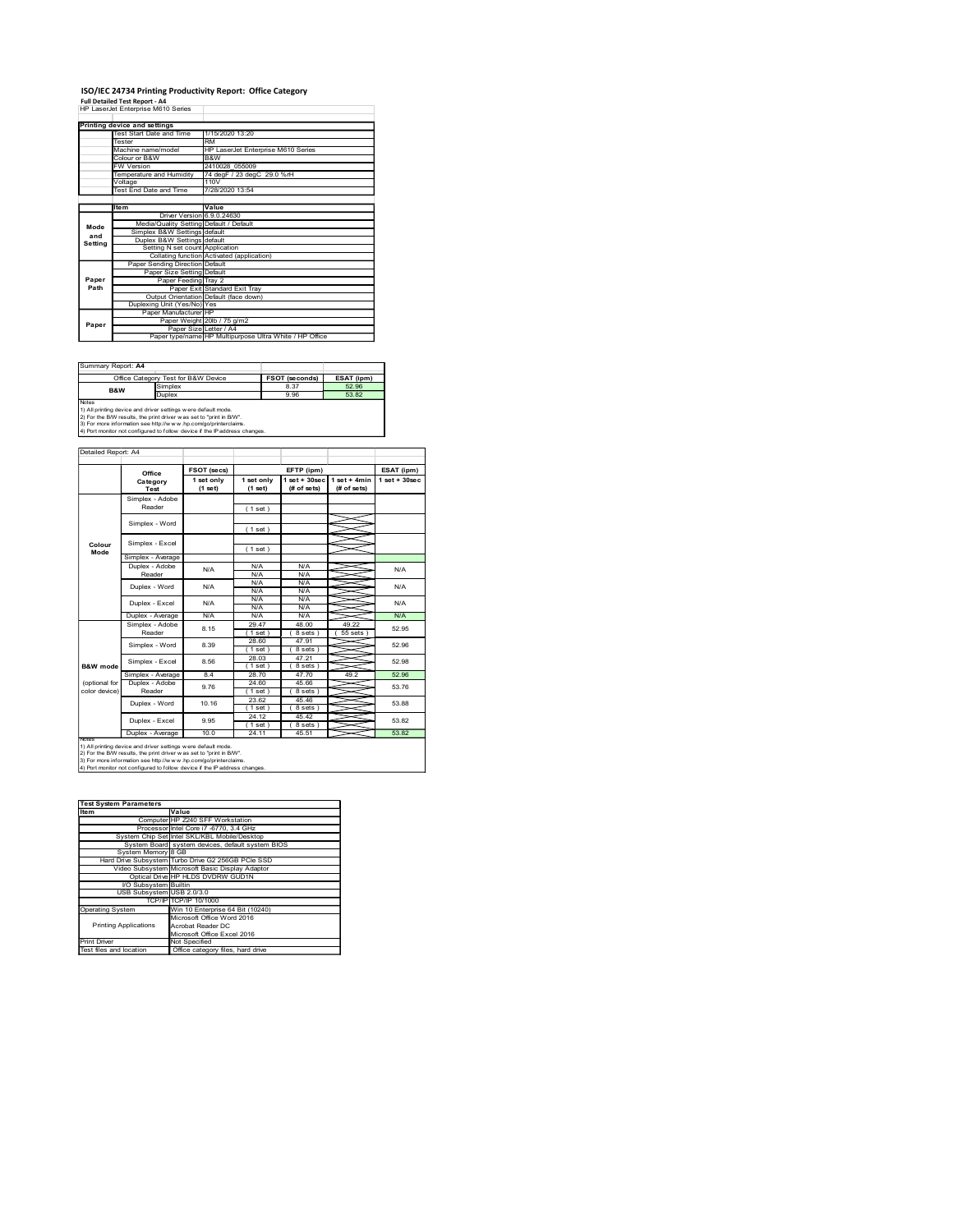## ISO/IEC 24734 Printing Productivity Report: Office Category Full Detailed Test Report - A4

|                     | ISO/IEC 24734 Printing Productivity Report: Office Category                                                                                   |                                                                                                 |                                    |                               |                                                 |                  |
|---------------------|-----------------------------------------------------------------------------------------------------------------------------------------------|-------------------------------------------------------------------------------------------------|------------------------------------|-------------------------------|-------------------------------------------------|------------------|
|                     | <b>Full Detailed Test Report - A4</b><br>HP LaserJet Enterprise M610 Series                                                                   |                                                                                                 |                                    |                               |                                                 |                  |
|                     | <b>Printing device and settings</b><br>Test Start Date and Time                                                                               | 1/15/2020 13:20                                                                                 |                                    |                               |                                                 |                  |
|                     | Tester<br>Machine name/model                                                                                                                  | <b>RM</b>                                                                                       | HP LaserJet Enterprise M610 Series |                               |                                                 |                  |
|                     | Colour or B&W<br>W Version                                                                                                                    | B&W<br>2410028_055009                                                                           |                                    |                               |                                                 |                  |
|                     | Temperature and Humidity<br>Voltage                                                                                                           | 110V                                                                                            | 74 degF / 23 degC 29.0 %rH         |                               |                                                 |                  |
|                     | Test End Date and Time                                                                                                                        | 7/28/2020 13:54                                                                                 |                                    |                               |                                                 |                  |
|                     | ltem                                                                                                                                          | Value<br>Driver Version 6.9.0.24630<br>Media/Quality Setting Default / Default                  |                                    |                               |                                                 |                  |
| Mode<br>and         | Simplex B&W Settings default<br>Duplex B&W Settings default                                                                                   |                                                                                                 |                                    |                               |                                                 |                  |
| Setting             |                                                                                                                                               | Setting N set count Application<br>Collating function Activated (application)                   |                                    |                               |                                                 |                  |
|                     | Paper Sending Direction Default                                                                                                               | Paper Size Setting Default                                                                      |                                    |                               |                                                 |                  |
| Paper<br>Path       |                                                                                                                                               | Paper Feeding Tray 2<br>Paper Exit Standard Exit Tray<br>Output Orientation Default (face down) |                                    |                               |                                                 |                  |
|                     | Duplexing Unit (Yes/No) Yes<br>Paper Manufacturer HP                                                                                          |                                                                                                 |                                    |                               |                                                 |                  |
| Paper               |                                                                                                                                               | Paper Weight 20lb / 75 g/m2<br>Paper Size Letter / A4                                           |                                    |                               |                                                 |                  |
|                     |                                                                                                                                               | Paper type/name HP Multipurpose Ultra White / HP Office                                         |                                    |                               |                                                 |                  |
| Summary Report: A4  |                                                                                                                                               |                                                                                                 |                                    |                               |                                                 |                  |
|                     | Office Category Test for B&W Device<br>Simplex                                                                                                |                                                                                                 |                                    | <b>FSOT (seconds)</b><br>8.37 | ESAT (ipm)<br>52.96                             |                  |
|                     | B&W<br>Duplex                                                                                                                                 |                                                                                                 |                                    | 9.96                          | 53.82                                           |                  |
| Notes               |                                                                                                                                               |                                                                                                 |                                    |                               |                                                 |                  |
|                     | 1) All printing device and driver settings were default mode.<br>2) For the B/W results, the print driver was set to "print in B/W".          |                                                                                                 |                                    |                               |                                                 |                  |
|                     | 3) For more information see http://www.hp.com/go/printerclaims.<br>4) Port monitor not configured to follow device if the IP address changes. |                                                                                                 |                                    |                               |                                                 |                  |
| Detailed Report: A4 |                                                                                                                                               |                                                                                                 |                                    |                               |                                                 |                  |
|                     | Office                                                                                                                                        | FSOT (secs)                                                                                     |                                    | EFTP (ipm)                    |                                                 | ESAT (ipm)       |
|                     | Category<br>Test                                                                                                                              | 1 set only<br>$(1$ set)                                                                         | 1 set only<br>(1 set)              | (# of sets)                   | $1 set + 30 sec$ $1 set + 4 min$<br>(# of sets) | $1 set + 30 sec$ |
|                     | Simplex - Adobe<br>Reader                                                                                                                     |                                                                                                 | (1 set)                            |                               |                                                 |                  |
|                     | Simplex - Word                                                                                                                                |                                                                                                 | (1 set)                            |                               |                                                 |                  |
| Colour<br>Mode      | Simplex - Excel                                                                                                                               |                                                                                                 | (1 set)                            |                               |                                                 |                  |

| Summary Report: A4 |                                                                                                                                                                                                                                                                                       |                       |            |
|--------------------|---------------------------------------------------------------------------------------------------------------------------------------------------------------------------------------------------------------------------------------------------------------------------------------|-----------------------|------------|
|                    | Office Category Test for B&W Device                                                                                                                                                                                                                                                   | <b>FSOT (seconds)</b> | ESAT (ipm) |
| <b>B&amp;W</b>     | Simplex                                                                                                                                                                                                                                                                               | 8.37                  | 52.96      |
|                    | <b>Duplex</b>                                                                                                                                                                                                                                                                         | 9.96                  | 53.82      |
| Notes              | 1) All printing device and driver settings were default mode.<br>2) For the B/W results, the print driver was set to "print in B/W".<br>3) For more information see http://www.hp.com/go/printerclaims.<br>4) Port monitor not configured to follow device if the IP address changes. |                       |            |

|                         | Colour or B&W<br>FW Version                                                                                                                   | B&W                                                                     | 2410028_055009                                          |                       |                                 |                 |
|-------------------------|-----------------------------------------------------------------------------------------------------------------------------------------------|-------------------------------------------------------------------------|---------------------------------------------------------|-----------------------|---------------------------------|-----------------|
|                         | Temperature and Humidity                                                                                                                      |                                                                         | 74 degF / 23 degC 29.0 %rH                              |                       |                                 |                 |
|                         | Voltage<br>Test End Date and Time                                                                                                             | 110V                                                                    | 7/28/2020 13:54                                         |                       |                                 |                 |
|                         |                                                                                                                                               |                                                                         |                                                         |                       |                                 |                 |
|                         | ltem                                                                                                                                          | Value                                                                   |                                                         |                       |                                 |                 |
|                         | <b>Driver Version</b><br>Media/Quality Setting Default / Default                                                                              | 6.9.0.24630                                                             |                                                         |                       |                                 |                 |
| Mode                    | Simplex B&W Settings default                                                                                                                  |                                                                         |                                                         |                       |                                 |                 |
| and<br>Setting          | Duplex B&W Settings default                                                                                                                   |                                                                         |                                                         |                       |                                 |                 |
|                         | Setting N set count                                                                                                                           | Application                                                             |                                                         |                       |                                 |                 |
|                         | <b>Paper Sending Direction</b>                                                                                                                | Collating function Activated (application)<br>Default                   |                                                         |                       |                                 |                 |
|                         | Paper Size Setting                                                                                                                            | Default                                                                 |                                                         |                       |                                 |                 |
| Paper                   | Paper Feeding                                                                                                                                 | Tray 2                                                                  |                                                         |                       |                                 |                 |
| Path                    |                                                                                                                                               | Paper Exit Standard Exit Tray<br>Output Orientation Default (face down) |                                                         |                       |                                 |                 |
|                         | Duplexing Unit (Yes/No) Yes                                                                                                                   |                                                                         |                                                         |                       |                                 |                 |
|                         | Paper Manufacturer HP                                                                                                                         |                                                                         |                                                         |                       |                                 |                 |
| Paper                   |                                                                                                                                               | Paper Weight 20lb / 75 g/m2<br>Paper Size Letter / A4                   |                                                         |                       |                                 |                 |
|                         |                                                                                                                                               |                                                                         | Paper type/name HP Multipurpose Ultra White / HP Office |                       |                                 |                 |
|                         |                                                                                                                                               |                                                                         |                                                         |                       |                                 |                 |
|                         |                                                                                                                                               |                                                                         |                                                         |                       |                                 |                 |
| Summary Report: A4      |                                                                                                                                               |                                                                         |                                                         |                       |                                 |                 |
|                         | Office Category Test for B&W Device                                                                                                           |                                                                         |                                                         | <b>FSOT (seconds)</b> | ESAT (ipm)                      |                 |
|                         | Simplex<br>B&W<br>Duplex                                                                                                                      |                                                                         |                                                         | 8.37<br>9.96          | 52.96<br>53.82                  |                 |
| Notes                   |                                                                                                                                               |                                                                         |                                                         |                       |                                 |                 |
|                         | 1) All printing device and driver settings were default mode.<br>2) For the B/W results, the print driver was set to "print in B/W".          |                                                                         |                                                         |                       |                                 |                 |
|                         | 3) For more information see http://www.hp.com/go/printerclaims.                                                                               |                                                                         |                                                         |                       |                                 |                 |
|                         | 4) Port monitor not configured to follow device if the IP address changes.                                                                    |                                                                         |                                                         |                       |                                 |                 |
|                         |                                                                                                                                               |                                                                         |                                                         |                       |                                 |                 |
| Detailed Report: A4     |                                                                                                                                               |                                                                         |                                                         |                       |                                 |                 |
|                         | Office                                                                                                                                        | FSOT (secs)                                                             |                                                         | EFTP (ipm)            |                                 |                 |
|                         | Category                                                                                                                                      | 1 set only                                                              | 1 set only                                              |                       | $1 set + 30 sec$   1 set + 4min | $1$ set + 30sec |
|                         | Test                                                                                                                                          | $(1$ set)                                                               | (1 set)                                                 | (# of sets)           | (# of sets)                     |                 |
|                         | Simplex - Adobe                                                                                                                               |                                                                         |                                                         |                       |                                 |                 |
|                         | Reader                                                                                                                                        |                                                                         | (1 set)                                                 |                       |                                 |                 |
|                         | Simplex - Word                                                                                                                                |                                                                         |                                                         |                       |                                 |                 |
|                         |                                                                                                                                               |                                                                         | (1 set)                                                 |                       |                                 |                 |
| Colour                  | Simplex - Excel                                                                                                                               |                                                                         |                                                         |                       |                                 |                 |
| Mode                    | Simplex - Average                                                                                                                             |                                                                         | (1 set)                                                 |                       |                                 |                 |
|                         | Duplex - Adobe                                                                                                                                |                                                                         | N/A                                                     | N/A                   |                                 |                 |
|                         | Reader                                                                                                                                        | N/A                                                                     | N/A                                                     | N/A                   |                                 |                 |
|                         | Duplex - Word                                                                                                                                 | N/A                                                                     | N/A                                                     | N/A                   |                                 |                 |
|                         |                                                                                                                                               |                                                                         | N/A<br>N/A                                              | N/A<br>N/A            |                                 |                 |
|                         | Duplex - Excel                                                                                                                                | N/A                                                                     | N/A                                                     | N/A                   |                                 |                 |
|                         | Duplex - Average                                                                                                                              | N/A                                                                     | N/A                                                     | N/A                   |                                 |                 |
|                         | Simplex - Adobe                                                                                                                               | 8.15                                                                    | 29.47                                                   | 48.00                 | 49.22                           |                 |
|                         | Reader                                                                                                                                        |                                                                         | (1 set)<br>28.60                                        | (8 sets)<br>47.91     | (55 sets)                       |                 |
|                         | Simplex - Word                                                                                                                                | 8.39                                                                    | (1 set)                                                 | (8 sets)              |                                 |                 |
|                         | Simplex - Excel                                                                                                                               | 8.56                                                                    | 28.03                                                   | 47.21                 |                                 |                 |
| <b>B&amp;W</b> mode     |                                                                                                                                               |                                                                         | (1 set)                                                 | (8 sets)              | 49.2                            |                 |
| (optional for           | Simplex - Average<br>Duplex - Adobe                                                                                                           | 8.4                                                                     | 28.70<br>24.60                                          | 47.70<br>45.66        |                                 |                 |
| color device)           | Reader                                                                                                                                        | 9.76                                                                    | (1 set)                                                 | (8 sets)              |                                 |                 |
|                         | Duplex - Word                                                                                                                                 | 10.16                                                                   | 23.62                                                   | 45.46                 |                                 |                 |
|                         |                                                                                                                                               |                                                                         | (1 set)<br>24.12                                        | (8 sets)<br>45.42     |                                 |                 |
|                         | Duplex - Excel                                                                                                                                | 9.95                                                                    | (1 set)                                                 | (8 sets)              |                                 |                 |
|                         | Duplex - Average                                                                                                                              | 10.0                                                                    | 24.11                                                   | 45.51                 |                                 |                 |
| Notes                   | 1) All printing device and driver settings w ere default mode.                                                                                |                                                                         |                                                         |                       |                                 |                 |
|                         | 2) For the B/W results, the print driver was set to "print in B/W".                                                                           |                                                                         |                                                         |                       |                                 |                 |
|                         | 3) For more information see http://www.hp.com/go/printerclaims.<br>4) Port monitor not configured to follow device if the IP address changes. |                                                                         |                                                         |                       |                                 |                 |
|                         |                                                                                                                                               |                                                                         |                                                         |                       |                                 |                 |
|                         |                                                                                                                                               |                                                                         |                                                         |                       |                                 |                 |
|                         |                                                                                                                                               |                                                                         |                                                         |                       |                                 |                 |
| Item                    | <b>Test System Parameters</b><br>Value                                                                                                        |                                                                         |                                                         |                       |                                 |                 |
|                         |                                                                                                                                               | Computer HP Z240 SFF Workstation                                        |                                                         |                       |                                 |                 |
|                         | Processor Intel Core i7 -6770, 3.4 GHz                                                                                                        |                                                                         |                                                         |                       |                                 |                 |
|                         | System Chip Set Intel SKL/KBL Mobile/Desktop                                                                                                  |                                                                         |                                                         |                       |                                 |                 |
|                         | System Board system devices, default system BIOS<br>System Memory 8 GB                                                                        |                                                                         |                                                         |                       |                                 |                 |
|                         | Hard Drive Subsystem Turbo Drive G2 256GB PCIe SSD                                                                                            |                                                                         |                                                         |                       |                                 |                 |
|                         | Video Subsystem Microsoft Basic Display Adaptor                                                                                               |                                                                         |                                                         |                       |                                 |                 |
|                         | Optical Drive HP HLDS DVDRW GUD1N                                                                                                             |                                                                         |                                                         |                       |                                 |                 |
|                         | I/O Subsystem Builtin<br>USB Subsystem USB 2.0/3.0                                                                                            |                                                                         |                                                         |                       |                                 |                 |
|                         |                                                                                                                                               | TCP/IP TCP/IP 10/1000                                                   |                                                         |                       |                                 |                 |
| <b>Operating System</b> |                                                                                                                                               | Win 10 Enterprise 64 Bit (10240)                                        |                                                         |                       |                                 |                 |
|                         |                                                                                                                                               | Microsoft Office Word 2016                                              |                                                         |                       |                                 |                 |
|                         | <b>Printing Applications</b>                                                                                                                  | Acrobat Reader DC<br>Microsoft Office Excel 2016                        |                                                         |                       |                                 |                 |
| Print Driver            |                                                                                                                                               | Not Specified                                                           |                                                         |                       |                                 |                 |
| Test files and location |                                                                                                                                               | Office category files, hard drive                                       |                                                         |                       |                                 |                 |
|                         |                                                                                                                                               |                                                                         |                                                         |                       |                                 |                 |
|                         |                                                                                                                                               |                                                                         |                                                         |                       |                                 |                 |
|                         |                                                                                                                                               |                                                                         |                                                         |                       |                                 |                 |
|                         |                                                                                                                                               |                                                                         |                                                         |                       |                                 |                 |
|                         |                                                                                                                                               |                                                                         |                                                         |                       |                                 |                 |
|                         |                                                                                                                                               |                                                                         |                                                         |                       |                                 |                 |
|                         |                                                                                                                                               |                                                                         |                                                         |                       |                                 |                 |
|                         |                                                                                                                                               |                                                                         |                                                         |                       |                                 |                 |
|                         |                                                                                                                                               |                                                                         |                                                         |                       |                                 |                 |

| Item                         | Value                                              |
|------------------------------|----------------------------------------------------|
|                              | Computer HP Z240 SFF Workstation                   |
|                              | Processor Intel Core i7 -6770, 3.4 GHz             |
|                              | System Chip Set Intel SKL/KBL Mobile/Desktop       |
|                              | System Board system devices, default system BIOS   |
| System Memory 8 GB           |                                                    |
|                              | Hard Drive Subsystem Turbo Drive G2 256GB PCIe SSD |
|                              | Video Subsystem Microsoft Basic Display Adaptor    |
|                              | Optical Drive HP HLDS DVDRW GUD1N                  |
| VO Subsystem Builtin         |                                                    |
| USB Subsystem USB 2.0/3.0    |                                                    |
|                              | TCP/IPITCP/IP 10/1000                              |
| <b>Operating System</b>      | Win 10 Enterprise 64 Bit (10240)                   |
|                              | Microsoft Office Word 2016                         |
| <b>Printing Applications</b> | Acrobat Reader DC                                  |
|                              | Microsoft Office Excel 2016                        |
| <b>Print Driver</b>          | Not Specified                                      |
|                              |                                                    |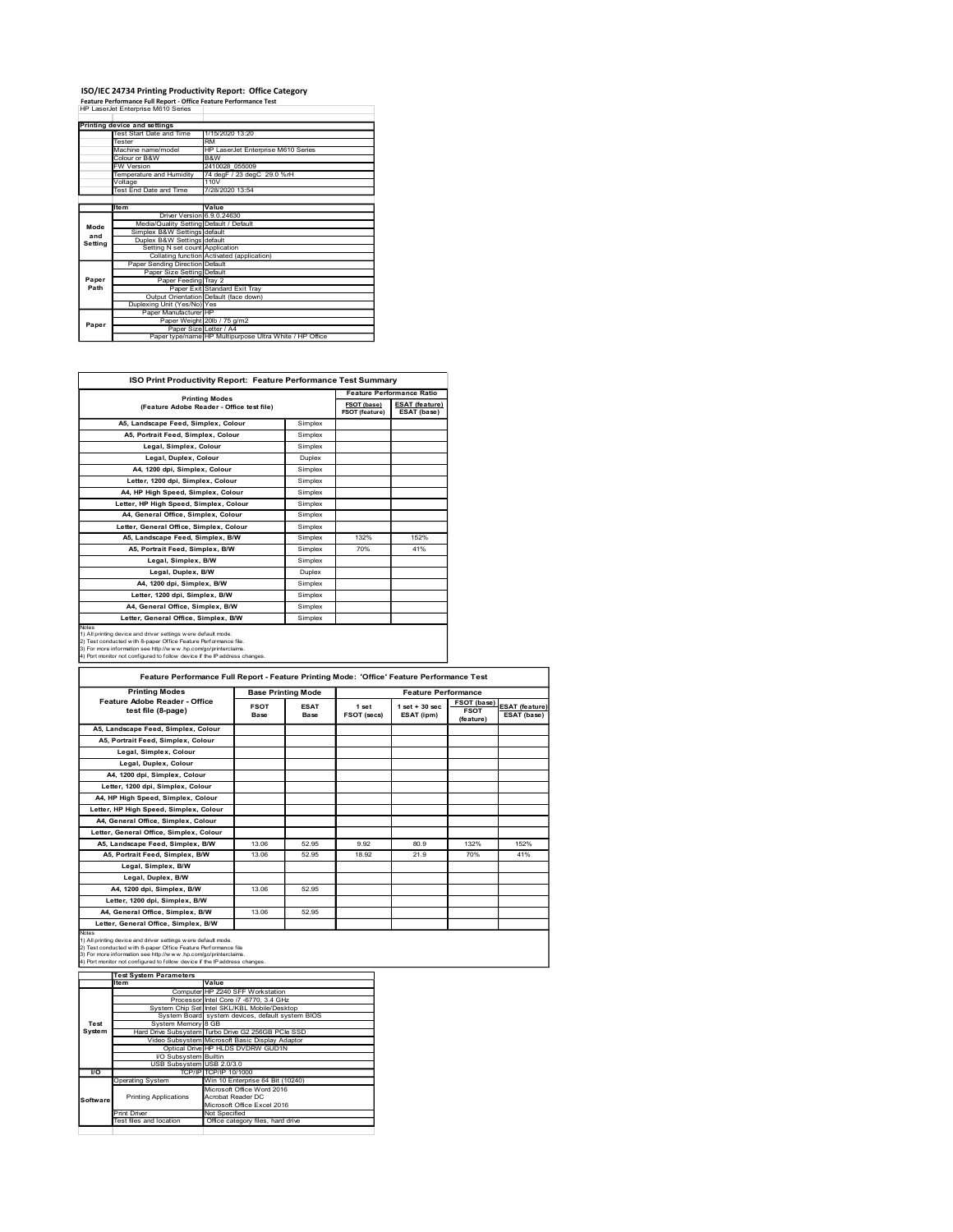### ISO/IEC 24734 Printing Productivity Report: Office Category Feature Performance Full Report - Office Feature Performance Test

|               | ISO/IEC 24734 Printing Productivity Report: Office Category                                             |                                                                                   |             |                                                           |
|---------------|---------------------------------------------------------------------------------------------------------|-----------------------------------------------------------------------------------|-------------|-----------------------------------------------------------|
|               | Feature Performance Full Report - Office Feature Performance Test<br>HP LaserJet Enterprise M610 Series |                                                                                   |             |                                                           |
|               | Printing device and settings                                                                            |                                                                                   |             |                                                           |
|               | Test Start Date and Time                                                                                |                                                                                   |             |                                                           |
|               |                                                                                                         | 1/15/2020 13:20                                                                   |             |                                                           |
|               | Tester<br>Machine name/model                                                                            | <b>RM</b><br>HP LaserJet Enterprise M610 Series                                   |             |                                                           |
|               | Colour or B&W                                                                                           | B&W                                                                               |             |                                                           |
|               | <b>FW Version</b><br>Temperature and Humidity                                                           | 2410028_055009                                                                    |             |                                                           |
|               | Voltage<br>Test End Date and Time                                                                       | 74 degF / 23 degC 29.0 %rH<br>110V<br>7/28/2020 13:54                             |             |                                                           |
|               | Item                                                                                                    | Value                                                                             |             |                                                           |
|               | Driver Version 6.9.0.24630                                                                              |                                                                                   |             |                                                           |
| Mode          | Media/Quality Setting Default / Default                                                                 |                                                                                   |             |                                                           |
| and           | Simplex B&W Settings default<br>Duplex B&W Settings default                                             |                                                                                   |             |                                                           |
| Setting       | Setting N set count Application                                                                         |                                                                                   |             |                                                           |
|               | Paper Sending Direction Default                                                                         | Collating function Activated (application)                                        |             |                                                           |
|               | Paper Size Setting Default                                                                              |                                                                                   |             |                                                           |
| Paper<br>Path | Paper Feeding Tray 2                                                                                    | Paper Exit Standard Exit Tray                                                     |             |                                                           |
|               |                                                                                                         |                                                                                   |             |                                                           |
|               | Output Orientation Default (face down)<br>Duplexing Unit (Yes/No) Yes<br>Paper Manufacturer HP          |                                                                                   |             |                                                           |
| Paper         |                                                                                                         | Paper Weight 20lb / 75 g/m2                                                       |             |                                                           |
|               |                                                                                                         | Paper Size Letter / A4<br>Paper type/name HP Multipurpose Ultra White / HP Office |             |                                                           |
|               |                                                                                                         |                                                                                   |             |                                                           |
|               |                                                                                                         | ISO Print Productivity Report: Feature Performance Test Summary                   |             |                                                           |
|               |                                                                                                         | <b>Printing Modes</b>                                                             | FSOT (base) | <b>Feature Performance Ratio</b><br><b>ESAT</b> (feature) |

|             | Test Start Date and Time                                                                                                                                                                              | 1/15/2020 13:20   |                                    |                           |                |                                  |                            |                       |
|-------------|-------------------------------------------------------------------------------------------------------------------------------------------------------------------------------------------------------|-------------------|------------------------------------|---------------------------|----------------|----------------------------------|----------------------------|-----------------------|
|             | RM<br>Tester<br>Machine name/model                                                                                                                                                                    |                   | HP LaserJet Enterprise M610 Series |                           |                |                                  |                            |                       |
|             | Colour or B&W<br>B&W                                                                                                                                                                                  |                   |                                    |                           |                |                                  |                            |                       |
|             | W Version<br><b>Temperature and Humidity</b>                                                                                                                                                          | 2410028_055009    | 74 degF / 23 degC 29.0 %rH         |                           |                |                                  |                            |                       |
|             | /oltage<br>110V<br><b>Test End Date and Time</b>                                                                                                                                                      | 7/28/2020 13:54   |                                    |                           |                |                                  |                            |                       |
|             | Item                                                                                                                                                                                                  | Value             |                                    |                           |                |                                  |                            |                       |
|             | Driver Version 6.9.0.24630<br>Media/Quality Setting Default / Default                                                                                                                                 |                   |                                    |                           |                |                                  |                            |                       |
| Mode<br>and | Simplex B&W Settings default                                                                                                                                                                          |                   |                                    |                           |                |                                  |                            |                       |
| Setting     | Duplex B&W Settings default<br>Setting N set count Application<br>Collating function Activated (application)<br>Paper Sending Direction Default                                                       |                   |                                    |                           |                |                                  |                            |                       |
|             |                                                                                                                                                                                                       |                   |                                    |                           |                |                                  |                            |                       |
| Paper       | Paper Size Setting Default<br>Paper Feeding Tray 2                                                                                                                                                    |                   |                                    |                           |                |                                  |                            |                       |
| Path        | Paper Exit Standard Exit Tray                                                                                                                                                                         |                   |                                    |                           |                |                                  |                            |                       |
|             | Output Orientation Default (face down)<br>Duplexing Unit (Yes/No) Yes                                                                                                                                 |                   |                                    |                           |                |                                  |                            |                       |
|             | Paper Manufacturer HP<br>Paper Weight 20lb / 75 g/m2                                                                                                                                                  |                   |                                    |                           |                |                                  |                            |                       |
| Paper       | Paper Size Letter / A4<br>Paper type/name HP Multipurpose Ultra White / HP Office                                                                                                                     |                   |                                    |                           |                |                                  |                            |                       |
|             |                                                                                                                                                                                                       |                   |                                    |                           |                |                                  |                            |                       |
|             |                                                                                                                                                                                                       |                   |                                    |                           |                |                                  |                            |                       |
|             | ISO Print Productivity Report: Feature Performance Test Summary                                                                                                                                       |                   |                                    |                           |                |                                  |                            |                       |
|             |                                                                                                                                                                                                       |                   |                                    |                           |                | <b>Feature Performance Ratio</b> |                            |                       |
|             | <b>Printing Modes</b><br>(Feature Adobe Reader - Office test file)                                                                                                                                    |                   |                                    |                           | FSOT (base)    | <b>ESAT (feature)</b>            |                            |                       |
|             |                                                                                                                                                                                                       |                   |                                    | Simplex                   | FSOT (feature) | ESAT (base)                      |                            |                       |
|             | A5, Landscape Feed, Simplex, Colour<br>A5, Portrait Feed, Simplex, Colour                                                                                                                             |                   |                                    | Simplex                   |                |                                  |                            |                       |
|             | Legal, Simplex, Colour                                                                                                                                                                                |                   |                                    | Simplex                   |                |                                  |                            |                       |
|             | Legal, Duplex, Colour                                                                                                                                                                                 |                   |                                    | Duplex                    |                |                                  |                            |                       |
|             | A4, 1200 dpi, Simplex, Colour                                                                                                                                                                         |                   |                                    | Simplex                   |                |                                  |                            |                       |
|             | Letter, 1200 dpi, Simplex, Colour<br>A4, HP High Speed, Simplex, Colour                                                                                                                               |                   |                                    | Simplex                   |                |                                  |                            |                       |
|             | Letter, HP High Speed, Simplex, Colour                                                                                                                                                                |                   |                                    | Simplex<br>Simplex        |                |                                  |                            |                       |
|             | A4, General Office, Simplex, Colour                                                                                                                                                                   |                   |                                    | Simplex                   |                |                                  |                            |                       |
|             | Letter, General Office, Simplex, Colour                                                                                                                                                               |                   |                                    | Simplex                   |                |                                  |                            |                       |
|             | A5, Landscape Feed, Simplex, B/W                                                                                                                                                                      |                   |                                    | Simplex                   | 132%           | 152%                             |                            |                       |
|             | A5, Portrait Feed, Simplex, B/W<br>Legal, Simplex, B/W                                                                                                                                                |                   |                                    | Simplex<br>Simplex        | 70%            | 41%                              |                            |                       |
|             | Legal, Duplex, B/W                                                                                                                                                                                    |                   |                                    | Duplex                    |                |                                  |                            |                       |
|             | A4, 1200 dpi, Simplex, B/W                                                                                                                                                                            |                   |                                    | Simplex                   |                |                                  |                            |                       |
|             | Letter, 1200 dpi, Simplex, B/W                                                                                                                                                                        |                   |                                    | Simplex                   |                |                                  |                            |                       |
|             | A4, General Office, Simplex, B/W<br>Letter, General Office, Simplex, B/W                                                                                                                              |                   |                                    | Simplex<br>Simplex        |                |                                  |                            |                       |
|             |                                                                                                                                                                                                       |                   |                                    |                           |                |                                  |                            |                       |
|             | 1) All printing device and driver settings were default mode.                                                                                                                                         |                   |                                    |                           |                |                                  |                            |                       |
|             | 2) Test conducted with 8-paper Office Feature Performance file.                                                                                                                                       |                   |                                    |                           |                |                                  |                            |                       |
|             | 3) For more information see http://www.hp.com/go/printerclaims<br>4) Port monitor not configured to follow device if the P address changes                                                            |                   |                                    |                           |                |                                  |                            |                       |
|             |                                                                                                                                                                                                       |                   |                                    |                           |                |                                  |                            |                       |
|             | Feature Performance Full Report - Feature Printing Mode: 'Office' Feature Performance Test                                                                                                            |                   |                                    |                           |                |                                  |                            |                       |
|             | <b>Printing Modes</b>                                                                                                                                                                                 |                   |                                    | <b>Base Printing Mode</b> |                | <b>Feature Performance</b>       |                            |                       |
|             | Feature Adobe Reader - Office<br>test file (8-page)                                                                                                                                                   |                   | <b>FSOT</b>                        | <b>ESAT</b>               | 1 set          | $1$ set + 30 sec                 | FSOT (base)<br><b>FSOT</b> | <b>ESAT (feature)</b> |
|             |                                                                                                                                                                                                       |                   | Base                               | Base                      | FSOT (secs)    | ESAT (ipm)                       | (feature)                  | ESAT (base)           |
|             | A5, Landscape Feed, Simplex, Colour<br>A5, Portrait Feed, Simplex, Colour                                                                                                                             |                   |                                    |                           |                |                                  |                            |                       |
|             | Legal, Simplex, Colour                                                                                                                                                                                |                   |                                    |                           |                |                                  |                            |                       |
|             | Legal, Duplex, Colour                                                                                                                                                                                 |                   |                                    |                           |                |                                  |                            |                       |
|             | A4, 1200 dpi, Simplex, Colour                                                                                                                                                                         |                   |                                    |                           |                |                                  |                            |                       |
|             | Letter, 1200 dpi, Simplex, Colour<br>A4, HP High Speed, Simplex, Colour                                                                                                                               |                   |                                    |                           |                |                                  |                            |                       |
|             | Letter, HP High Speed, Simplex, Colour                                                                                                                                                                |                   |                                    |                           |                |                                  |                            |                       |
|             | A4, General Office, Simplex, Colour                                                                                                                                                                   |                   |                                    |                           |                |                                  |                            |                       |
|             | Letter, General Office, Simplex, Colour<br>A5, Landscape Feed, Simplex, B/W                                                                                                                           |                   | 13.06                              | 52.95                     | 9.92           | 80.9                             | 132%                       | 152%                  |
|             | A5, Portrait Feed, Simplex, B/W                                                                                                                                                                       |                   | 13.06                              | 52.95                     | 18.92          | 21.9                             | 70%                        | 41%                   |
|             | Legal, Simplex, B/W                                                                                                                                                                                   |                   |                                    |                           |                |                                  |                            |                       |
|             | Legal, Duplex, B/W                                                                                                                                                                                    |                   |                                    |                           |                |                                  |                            |                       |
|             | A4, 1200 dpi, Simplex, B/W                                                                                                                                                                            |                   | 13.06                              | 52.95                     |                |                                  |                            |                       |
|             | Letter, 1200 dpi, Simplex, B/W<br>A4, General Office, Simplex, B/W                                                                                                                                    |                   | 13.06                              | 52.95                     |                |                                  |                            |                       |
|             | Letter, General Office, Simplex, B/W                                                                                                                                                                  |                   |                                    |                           |                |                                  |                            |                       |
|             | 1) All printing device and driver settings were default mode.<br>2) Test conducted with 8-paper Office Feature Performance file<br>3) For more information see http://w w w .hp.com/go/printerclaims. |                   |                                    |                           |                |                                  |                            |                       |
|             | 4) Port monitor not configured to follow device if the IP address changes                                                                                                                             |                   |                                    |                           |                |                                  |                            |                       |
|             | <b>Test System Parameters</b><br>Value<br>Item                                                                                                                                                        |                   |                                    |                           |                |                                  |                            |                       |
|             | Computer HP Z240 SFF Workstation<br>Processor Intel Core i7 -6770, 3.4 GHz                                                                                                                            |                   |                                    |                           |                |                                  |                            |                       |
| Note:       | System Chip Set Intel SKL/KBL Mobile/Desktop                                                                                                                                                          |                   |                                    |                           |                |                                  |                            |                       |
| Test        | System Board system devices, default system BIOS<br>System Memory 8 GB                                                                                                                                |                   |                                    |                           |                |                                  |                            |                       |
| System      | Hard Drive Subsystem Turbo Drive G2 256GB PCle SSD<br>Video Subsystem Microsoft Basic Display Adaptor                                                                                                 |                   |                                    |                           |                |                                  |                            |                       |
|             | Optical Drive HP HLDS DVDRW GUD1N<br><b>VO Subsystem Builtin</b>                                                                                                                                      |                   |                                    |                           |                |                                  |                            |                       |
|             | USB Subsystem USB 2.0/3.0                                                                                                                                                                             |                   |                                    |                           |                |                                  |                            |                       |
| <b>I</b> O  | TCP/IP TCP/IP 10/1000<br>Operating System                                                                                                                                                             |                   | Win 10 Enterprise 64 Bit (10240)   |                           |                |                                  |                            |                       |
|             | <b>Printing Applications</b>                                                                                                                                                                          | Acrobat Reader DC | Microsoft Office Word 2016         |                           |                |                                  |                            |                       |
| Software    |                                                                                                                                                                                                       |                   | Microsoft Office Excel 2016        |                           |                |                                  |                            |                       |
|             | Print Driver<br><b>Test files and location</b>                                                                                                                                                        | Not Specified     | Office category files, hard drive  |                           |                |                                  |                            |                       |
|             |                                                                                                                                                                                                       |                   |                                    |                           |                |                                  |                            |                       |

|                 | test file (8-page)                                                                                                                                                                                                                         |                   |                                                                            |       |       |      | (feature) |      |
|-----------------|--------------------------------------------------------------------------------------------------------------------------------------------------------------------------------------------------------------------------------------------|-------------------|----------------------------------------------------------------------------|-------|-------|------|-----------|------|
|                 | A5, Landscape Feed, Simplex, Colour                                                                                                                                                                                                        |                   |                                                                            |       |       |      |           |      |
|                 | A5, Portrait Feed, Simplex, Colour                                                                                                                                                                                                         |                   |                                                                            |       |       |      |           |      |
|                 | Legal, Simplex, Colour                                                                                                                                                                                                                     |                   |                                                                            |       |       |      |           |      |
|                 | Legal, Duplex, Colour                                                                                                                                                                                                                      |                   |                                                                            |       |       |      |           |      |
|                 |                                                                                                                                                                                                                                            |                   |                                                                            |       |       |      |           |      |
|                 | A4, 1200 dpi, Simplex, Colour                                                                                                                                                                                                              |                   |                                                                            |       |       |      |           |      |
|                 | Letter, 1200 dpi, Simplex, Colour                                                                                                                                                                                                          |                   |                                                                            |       |       |      |           |      |
|                 | A4, HP High Speed, Simplex, Colour                                                                                                                                                                                                         |                   |                                                                            |       |       |      |           |      |
|                 | Letter, HP High Speed, Simplex, Colour                                                                                                                                                                                                     |                   |                                                                            |       |       |      |           |      |
|                 | A4, General Office, Simplex, Colour                                                                                                                                                                                                        |                   |                                                                            |       |       |      |           |      |
|                 | Letter, General Office, Simplex, Colour                                                                                                                                                                                                    |                   |                                                                            |       |       |      |           |      |
|                 | A5, Landscape Feed, Simplex, B/W                                                                                                                                                                                                           |                   | 13.06                                                                      | 52.95 | 9.92  | 80.9 | 132%      | 152% |
|                 | A5, Portrait Feed, Simplex, B/W                                                                                                                                                                                                            |                   | 13.06                                                                      | 52.95 | 18.92 | 21.9 | 70%       | 41%  |
|                 | Legal, Simplex, B/W                                                                                                                                                                                                                        |                   |                                                                            |       |       |      |           |      |
|                 |                                                                                                                                                                                                                                            |                   |                                                                            |       |       |      |           |      |
|                 | Legal, Duplex, B/W                                                                                                                                                                                                                         |                   |                                                                            |       |       |      |           |      |
|                 | A4, 1200 dpi, Simplex, B/W                                                                                                                                                                                                                 |                   | 13.06                                                                      | 52.95 |       |      |           |      |
|                 | Letter, 1200 dpi, Simplex, B/W                                                                                                                                                                                                             |                   |                                                                            |       |       |      |           |      |
|                 |                                                                                                                                                                                                                                            |                   | 13.06                                                                      | 52.95 |       |      |           |      |
|                 | A4, General Office, Simplex, B/W                                                                                                                                                                                                           |                   |                                                                            |       |       |      |           |      |
| Notes           | Letter, General Office, Simplex, B/W<br>1) All printing device and driver settings were default mode.<br>2) Test conducted with 8-paper Office Feature Performance file<br>3) For more information see http://www.hp.com/go/printerclaims. |                   |                                                                            |       |       |      |           |      |
|                 | 4) Port monitor not configured to follow device if the IP address changes.<br><b>Test System Parameters</b>                                                                                                                                |                   |                                                                            |       |       |      |           |      |
|                 | Item                                                                                                                                                                                                                                       | Value             |                                                                            |       |       |      |           |      |
|                 |                                                                                                                                                                                                                                            |                   | Computer HP Z240 SFF Workstation<br>Processor Intel Core i7 -6770, 3.4 GHz |       |       |      |           |      |
|                 | System Chip Set Intel SKL/KBL Mobile/Desktop                                                                                                                                                                                               |                   |                                                                            |       |       |      |           |      |
|                 | System Board system devices, default system BIOS                                                                                                                                                                                           |                   |                                                                            |       |       |      |           |      |
| Test            | System Memory 8 GB<br>Hard Drive Subsystem Turbo Drive G2 256GB PCle SSD                                                                                                                                                                   |                   |                                                                            |       |       |      |           |      |
| System          | Video Subsystem Microsoft Basic Display Adaptor                                                                                                                                                                                            |                   |                                                                            |       |       |      |           |      |
|                 |                                                                                                                                                                                                                                            |                   | Optical Drive HP HLDS DVDRW GUD1N                                          |       |       |      |           |      |
|                 | <b>VO Subsystem Builtin</b>                                                                                                                                                                                                                |                   |                                                                            |       |       |      |           |      |
| I/O             | USB Subsystem USB 2.0/3.0<br>TCP/IP                                                                                                                                                                                                        | TCP/IP 10/1000    |                                                                            |       |       |      |           |      |
|                 | <b>Operating System</b>                                                                                                                                                                                                                    |                   | Win 10 Enterprise 64 Bit (10240)                                           |       |       |      |           |      |
|                 |                                                                                                                                                                                                                                            |                   | Microsoft Office Word 2016                                                 |       |       |      |           |      |
| <b>Software</b> | <b>Printing Applications</b>                                                                                                                                                                                                               | Acrobat Reader DC |                                                                            |       |       |      |           |      |
|                 |                                                                                                                                                                                                                                            |                   | Microsoft Office Excel 2016                                                |       |       |      |           |      |
|                 | Print Driver<br>Test files and location                                                                                                                                                                                                    | Not Specified     | Office category files, hard drive                                          |       |       |      |           |      |

|                  | <b>Test System Parameters</b> |                                                    |  |  |
|------------------|-------------------------------|----------------------------------------------------|--|--|
|                  | <b>Item</b>                   | Value                                              |  |  |
|                  |                               | Computer HP Z240 SFF Workstation                   |  |  |
|                  |                               | Processor Intel Core i7 -6770, 3.4 GHz             |  |  |
|                  |                               | System Chip Set Intel SKL/KBL Mobile/Desktop       |  |  |
|                  |                               | System Board system devices, default system BIOS   |  |  |
| Test             | System Memory 8 GB            |                                                    |  |  |
| System           |                               | Hard Drive Subsystem Turbo Drive G2 256GB PCle SSD |  |  |
|                  |                               | Video Subsystem Microsoft Basic Display Adaptor    |  |  |
|                  |                               | Optical Drive HP HLDS DVDRW GUD1N                  |  |  |
|                  | <b>VO Subsystem</b> Builtin   |                                                    |  |  |
|                  | USB Subsystem USB 2.0/3.0     |                                                    |  |  |
| $\overline{1/O}$ |                               | TCP/IPITCP/IP 10/1000                              |  |  |
|                  | <b>Operating System</b>       | Win 10 Enterprise 64 Bit (10240)                   |  |  |
|                  |                               | Microsoft Office Word 2016                         |  |  |
| <b>Software</b>  | <b>Printing Applications</b>  | Acrobat Reader DC                                  |  |  |
|                  |                               | Microsoft Office Excel 2016                        |  |  |
|                  | <b>Print Driver</b>           | Not Specified                                      |  |  |
|                  | Test files and location       | Office category files, hard drive                  |  |  |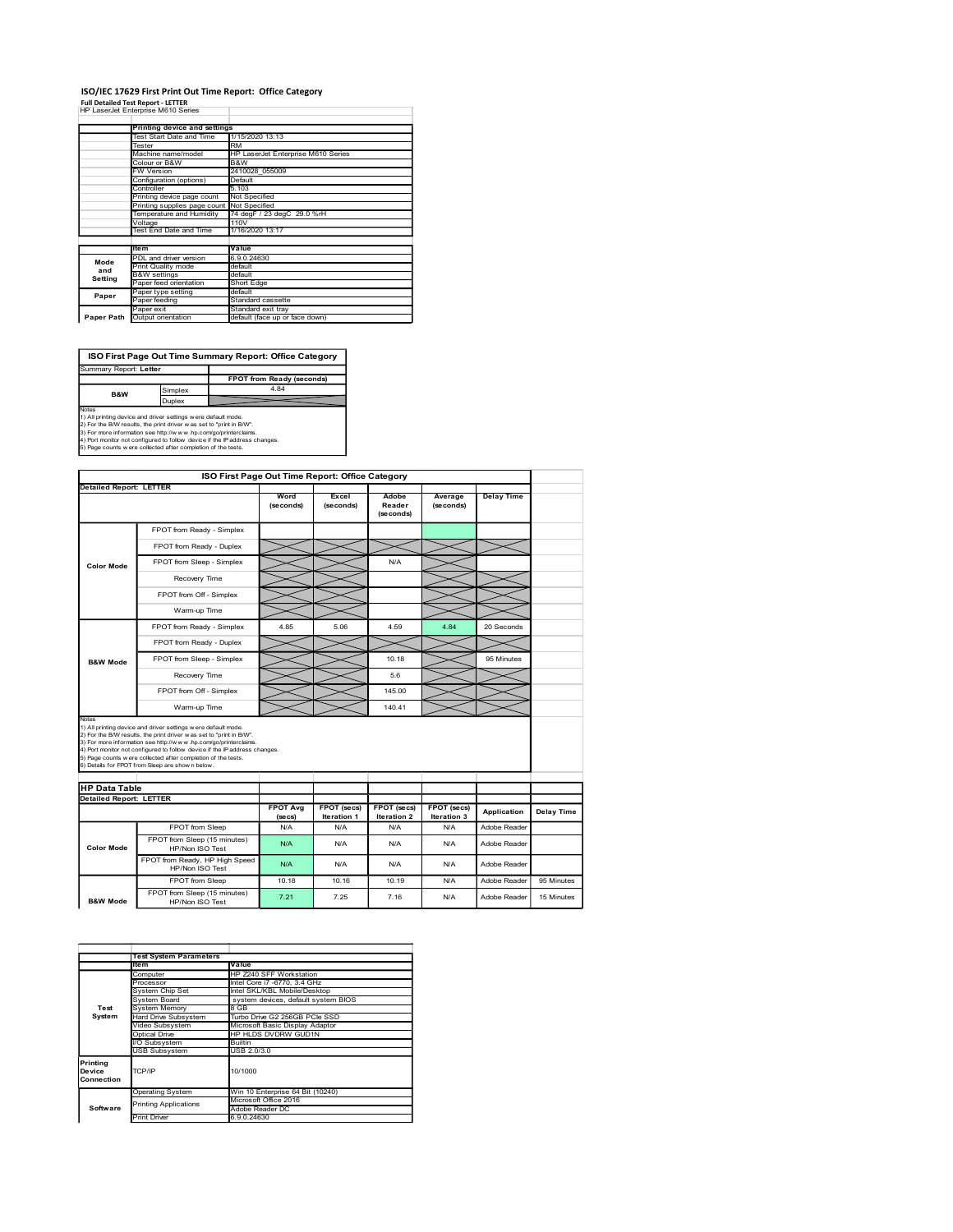# ISO/IEC 17629 First Print Out Time Report: Office Category Full Detailed Test Report - LETTER

|                                                                                                                                                                                                                |                                                                                                      |                                              |                           | ISO/IEC 17629 First Print Out Time Report: Office Category |           |                     |           |                   |  |
|----------------------------------------------------------------------------------------------------------------------------------------------------------------------------------------------------------------|------------------------------------------------------------------------------------------------------|----------------------------------------------|---------------------------|------------------------------------------------------------|-----------|---------------------|-----------|-------------------|--|
| <b>Full Detailed Test Report - LETTER</b><br>HP LaserJet Enterprise M610 Series                                                                                                                                |                                                                                                      |                                              |                           |                                                            |           |                     |           |                   |  |
|                                                                                                                                                                                                                |                                                                                                      | <b>Printing device and settings</b>          |                           |                                                            |           |                     |           |                   |  |
|                                                                                                                                                                                                                | Tester                                                                                               | Test Start Date and Time                     | RM                        | 1/15/2020 13:13                                            |           |                     |           |                   |  |
|                                                                                                                                                                                                                |                                                                                                      | Machine name/model<br>Colour or B&W          | B&W                       | HP LaserJet Enterprise M610 Series                         |           |                     |           |                   |  |
|                                                                                                                                                                                                                | FW Version                                                                                           | Configuration (options)                      | Default                   | 2410028_055009                                             |           |                     |           |                   |  |
|                                                                                                                                                                                                                | Controller<br>Printing device page count<br>Printing supplies page count<br>Temperature and Humidity |                                              | .103<br>Not Specified     |                                                            |           |                     |           |                   |  |
|                                                                                                                                                                                                                |                                                                                                      |                                              | Not Specified             | 74 degF / 23 degC 29.0 %rH                                 |           |                     |           |                   |  |
|                                                                                                                                                                                                                | Voltage<br>Test End Date and Time                                                                    |                                              |                           | 1/16/2020 13:17                                            |           |                     |           |                   |  |
|                                                                                                                                                                                                                | ltem                                                                                                 |                                              | Value                     |                                                            |           |                     |           |                   |  |
| Mode<br>and                                                                                                                                                                                                    |                                                                                                      | PDL and driver version<br>Print Quality mode | 6.9.0.24630<br>default    |                                                            |           |                     |           |                   |  |
| Setting                                                                                                                                                                                                        | <b>B&amp;W</b> settings                                                                              | Paper feed orientation                       | default<br>Short Edge     |                                                            |           |                     |           |                   |  |
| Paper                                                                                                                                                                                                          | Paper feeding                                                                                        | Paper type setting                           | default                   | Standard cassette                                          |           |                     |           |                   |  |
| Paper Path Output orientation                                                                                                                                                                                  | aper exit?                                                                                           |                                              |                           | Standard exit tray<br>default (face up or face down)       |           |                     |           |                   |  |
|                                                                                                                                                                                                                |                                                                                                      |                                              |                           |                                                            |           |                     |           |                   |  |
|                                                                                                                                                                                                                |                                                                                                      |                                              |                           | ISO First Page Out Time Summary Report: Office Category    |           |                     |           |                   |  |
| Summary Report: Letter                                                                                                                                                                                         |                                                                                                      |                                              |                           |                                                            |           |                     |           |                   |  |
| B&W                                                                                                                                                                                                            |                                                                                                      | Simplex                                      |                           | FPOT from Ready (seconds)<br>4.84                          |           |                     |           |                   |  |
| Notes                                                                                                                                                                                                          |                                                                                                      | Duplex                                       |                           |                                                            |           |                     |           |                   |  |
| 1) All printing device and driver settings were default mode.<br>2) For the R/W results the print driver a                                                                                                     |                                                                                                      |                                              | set to "print in R/W      |                                                            |           |                     |           |                   |  |
| 3) For more information see http://www.hp.com/go/printerclaims.<br>4) Port monitor not configured to follow device if the IP address changes.<br>5) Page counts w ere collected after completion of the tests. |                                                                                                      |                                              |                           |                                                            |           |                     |           |                   |  |
|                                                                                                                                                                                                                |                                                                                                      |                                              |                           |                                                            |           |                     |           |                   |  |
|                                                                                                                                                                                                                |                                                                                                      |                                              |                           | ISO First Page Out Time Report: Office Category            |           |                     |           |                   |  |
| <b>Detailed Report: LETTER</b>                                                                                                                                                                                 |                                                                                                      |                                              |                           | Word                                                       | Excel     | Adobe               | Average   | <b>Delay Time</b> |  |
|                                                                                                                                                                                                                |                                                                                                      |                                              |                           | (seconds)                                                  | (seconds) | Reader<br>(seconds) | (seconds) |                   |  |
|                                                                                                                                                                                                                |                                                                                                      |                                              | FPOT from Ready - Simplex |                                                            |           |                     |           |                   |  |
|                                                                                                                                                                                                                |                                                                                                      |                                              |                           |                                                            |           |                     |           |                   |  |

|                                | Machine name/model                                                                                                                        |                                         | HP LaserJet Enterprise M610 Series                           |                                                 |                     |                    |                   |                   |
|--------------------------------|-------------------------------------------------------------------------------------------------------------------------------------------|-----------------------------------------|--------------------------------------------------------------|-------------------------------------------------|---------------------|--------------------|-------------------|-------------------|
|                                | Colour or B&W<br><b>FW Version</b>                                                                                                        | B&W<br>2410028_055009                   |                                                              |                                                 |                     |                    |                   |                   |
|                                | Configuration (options)                                                                                                                   | Default                                 |                                                              |                                                 |                     |                    |                   |                   |
|                                | Controller<br>Printing device page count                                                                                                  | 5.103<br>Not Specified                  |                                                              |                                                 |                     |                    |                   |                   |
|                                | Printing supplies page count<br>Temperature and Humidity                                                                                  | Not Specified                           | 74 degF / 23 degC 29.0 %rH                                   |                                                 |                     |                    |                   |                   |
|                                | Voltage                                                                                                                                   | 110V                                    |                                                              |                                                 |                     |                    |                   |                   |
|                                | Test End Date and Time                                                                                                                    | 1/16/2020 13:17                         |                                                              |                                                 |                     |                    |                   |                   |
|                                | ltem<br>PDL and driver version                                                                                                            | Value<br>6.9.0.24630                    |                                                              |                                                 |                     |                    |                   |                   |
| Mode<br>and                    | Print Quality mode                                                                                                                        | default                                 |                                                              |                                                 |                     |                    |                   |                   |
| Setting                        | <b>B&amp;W</b> settings<br>aper feed orientation                                                                                          | default<br>Short Edge                   |                                                              |                                                 |                     |                    |                   |                   |
| Paper                          | Paper type setting                                                                                                                        | default                                 |                                                              |                                                 |                     |                    |                   |                   |
|                                | Paper feeding<br>Paper exit                                                                                                               | Standard cassette<br>Standard exit tray |                                                              |                                                 |                     |                    |                   |                   |
|                                | Paper Path Output orientation                                                                                                             |                                         | default (face up or face down)                               |                                                 |                     |                    |                   |                   |
|                                |                                                                                                                                           |                                         |                                                              |                                                 |                     |                    |                   |                   |
|                                | ISO First Page Out Time Summary Report: Office Category                                                                                   |                                         |                                                              |                                                 |                     |                    |                   |                   |
| Summary Report: Letter         |                                                                                                                                           |                                         |                                                              |                                                 |                     |                    |                   |                   |
|                                |                                                                                                                                           |                                         | <b>FPOT from Ready (seconds)</b>                             |                                                 |                     |                    |                   |                   |
| B&W                            | Simplex<br>Duplex                                                                                                                         |                                         | 4.84                                                         |                                                 |                     |                    |                   |                   |
| Notes                          | 1) All printing device and driver settings were default mode.                                                                             |                                         |                                                              |                                                 |                     |                    |                   |                   |
|                                | 2) For the B/W results, the print driver was set to "print in B/W".<br>3) For more information see http://www.hp.com/go/printerclaims.    |                                         |                                                              |                                                 |                     |                    |                   |                   |
|                                | 4) Port monitor not configured to follow device if the IP address changes.                                                                |                                         |                                                              |                                                 |                     |                    |                   |                   |
|                                | 5) Page counts w ere collected after completion of the tests.                                                                             |                                         |                                                              |                                                 |                     |                    |                   |                   |
|                                |                                                                                                                                           |                                         |                                                              |                                                 |                     |                    |                   |                   |
| <b>Detailed Report: LETTER</b> |                                                                                                                                           |                                         |                                                              | ISO First Page Out Time Report: Office Category |                     |                    |                   |                   |
|                                |                                                                                                                                           |                                         | Word                                                         | Excel                                           | Adobe               | Average            | <b>Delay Time</b> |                   |
|                                |                                                                                                                                           |                                         | (seconds)                                                    | (seconds)                                       | Reader<br>(seconds) | (seconds)          |                   |                   |
|                                | FPOT from Ready - Simplex                                                                                                                 |                                         |                                                              |                                                 |                     |                    |                   |                   |
|                                | FPOT from Ready - Duplex                                                                                                                  |                                         |                                                              |                                                 |                     |                    |                   |                   |
|                                |                                                                                                                                           |                                         |                                                              |                                                 |                     |                    |                   |                   |
| <b>Color Mode</b>              | FPOT from Sleep - Simplex                                                                                                                 |                                         |                                                              |                                                 | N/A                 |                    |                   |                   |
|                                | Recovery Time                                                                                                                             |                                         |                                                              |                                                 |                     |                    |                   |                   |
|                                | FPOT from Off - Simplex                                                                                                                   |                                         |                                                              |                                                 |                     |                    |                   |                   |
|                                | Warm-up Time                                                                                                                              |                                         |                                                              |                                                 |                     |                    |                   |                   |
|                                | FPOT from Ready - Simplex                                                                                                                 |                                         | 4.85                                                         | 5.06                                            | 4.59                | 4.84               | 20 Seconds        |                   |
|                                | FPOT from Ready - Duplex                                                                                                                  |                                         |                                                              |                                                 |                     |                    |                   |                   |
|                                | FPOT from Sleep - Simplex                                                                                                                 |                                         |                                                              |                                                 | 10.18               |                    | 95 Minutes        |                   |
| <b>B&amp;W Mode</b>            |                                                                                                                                           |                                         |                                                              |                                                 |                     |                    |                   |                   |
|                                | Recovery Time                                                                                                                             |                                         |                                                              |                                                 | $5.6\,$             |                    |                   |                   |
|                                | FPOT from Off - Simplex                                                                                                                   |                                         |                                                              |                                                 | 145.00              |                    |                   |                   |
|                                | Warm-up Time                                                                                                                              |                                         |                                                              |                                                 | 140.41              |                    |                   |                   |
| Notes                          | 1) All printing device and driver settings were default mode.                                                                             |                                         |                                                              |                                                 |                     |                    |                   |                   |
|                                | 2) For the B/W results, the print driver was set to "print in B/W".<br>3) For more information see http://www.hp.com/go/printerclaims.    |                                         |                                                              |                                                 |                     |                    |                   |                   |
|                                | 4) Port monitor not configured to follow device if the Paddress changes.<br>5) Page counts w ere collected after completion of the tests. |                                         |                                                              |                                                 |                     |                    |                   |                   |
|                                | 6) Details for FPOT from Sleep are show n below                                                                                           |                                         |                                                              |                                                 |                     |                    |                   |                   |
| <b>HP Data Table</b>           |                                                                                                                                           |                                         |                                                              |                                                 |                     |                    |                   |                   |
| <b>Detailed Report: LETTER</b> |                                                                                                                                           |                                         |                                                              |                                                 |                     |                    |                   |                   |
|                                |                                                                                                                                           |                                         | <b>FPOT Avg</b>                                              | FPOT (secs)                                     | FPOT (secs)         | FPOT (secs)        | Application       | <b>Delay Time</b> |
|                                | FPOT from Sleep                                                                                                                           |                                         | (secs)<br>N/A                                                | Iteration 1<br>N/A                              | Iteration 2<br>N/A  | Iteration 3<br>N/A | Adobe Reader      |                   |
|                                | FPOT from Sleep (15 minutes)                                                                                                              |                                         | N/A                                                          | N/A                                             | N/A                 | N/A                | Adobe Reader      |                   |
| <b>Color Mode</b>              | HP/Non ISO Test                                                                                                                           |                                         |                                                              |                                                 |                     |                    |                   |                   |
|                                | FPOT from Ready, HP High Speed<br>HP/Non ISO Test                                                                                         |                                         | N/A                                                          | N/A                                             | N/A                 | N/A                | Adobe Reader      |                   |
|                                | FPOT from Sleep                                                                                                                           |                                         | 10.18                                                        | 10.16                                           | 10.19               | N/A                | Adobe Reader      | 95 Minutes        |
|                                |                                                                                                                                           |                                         | 7.21                                                         | 7.25                                            | 7.16                | N/A                | Adobe Reader      | 15 Minutes        |
|                                | FPOT from Sleep (15 minutes)                                                                                                              |                                         |                                                              |                                                 |                     |                    |                   |                   |
| <b>B&amp;W Mode</b>            | HP/Non ISO Test                                                                                                                           |                                         |                                                              |                                                 |                     |                    |                   |                   |
|                                |                                                                                                                                           |                                         |                                                              |                                                 |                     |                    |                   |                   |
|                                |                                                                                                                                           |                                         |                                                              |                                                 |                     |                    |                   |                   |
|                                |                                                                                                                                           |                                         |                                                              |                                                 |                     |                    |                   |                   |
|                                | <b>Test System Parameters</b><br>ltem                                                                                                     | Value                                   |                                                              |                                                 |                     |                    |                   |                   |
|                                | Computer                                                                                                                                  |                                         | HP Z240 SFF Workstation                                      |                                                 |                     |                    |                   |                   |
|                                | Processor<br>System Chip Set                                                                                                              |                                         | Intel Core i7 -6770, 3.4 GHz<br>Intel SKL/KBL Mobile/Desktop |                                                 |                     |                    |                   |                   |
| Test                           | System Board<br>System Memory                                                                                                             | 8 GB                                    | system devices, default system BIOS                          |                                                 |                     |                    |                   |                   |
| System                         | Hard Drive Subsystem                                                                                                                      |                                         | Turbo Drive G2 256GB PCle SSD                                |                                                 |                     |                    |                   |                   |
|                                | Video Subsystem<br>Optical Drive                                                                                                          |                                         | Microsoft Basic Display Adaptor<br>HP HLDS DVDRW GUD1N       |                                                 |                     |                    |                   |                   |
|                                | I/O Subsystem                                                                                                                             | <b>Builtin</b>                          |                                                              |                                                 |                     |                    |                   |                   |
|                                | USB Subsystem                                                                                                                             | USB 2.0/3.0                             |                                                              |                                                 |                     |                    |                   |                   |
| Printing<br>Device             | TCP/IP                                                                                                                                    | 10/1000                                 |                                                              |                                                 |                     |                    |                   |                   |
| Connection                     |                                                                                                                                           |                                         | Win 10 Enterprise 64 Bit (10240)                             |                                                 |                     |                    |                   |                   |
|                                | <b>Operating System</b><br><b>Printing Applications</b>                                                                                   |                                         | Microsoft Office 2016                                        |                                                 |                     |                    |                   |                   |
| Software                       | <b>Print Driver</b>                                                                                                                       | Adobe Reader DC<br>6.9.0.24630          |                                                              |                                                 |                     |                    |                   |                   |
|                                |                                                                                                                                           |                                         |                                                              |                                                 |                     |                    |                   |                   |
|                                |                                                                                                                                           |                                         |                                                              |                                                 |                     |                    |                   |                   |
|                                |                                                                                                                                           |                                         |                                                              |                                                 |                     |                    |                   |                   |
|                                |                                                                                                                                           |                                         |                                                              |                                                 |                     |                    |                   |                   |
|                                |                                                                                                                                           |                                         |                                                              |                                                 |                     |                    |                   |                   |
|                                |                                                                                                                                           |                                         |                                                              |                                                 |                     |                    |                   |                   |

|                                  | <b>Test System Parameters</b> |                                     |  |  |  |  |
|----------------------------------|-------------------------------|-------------------------------------|--|--|--|--|
|                                  | litem                         | Value                               |  |  |  |  |
|                                  | Computer                      | HP Z240 SFF Workstation             |  |  |  |  |
|                                  | Processor                     | Intel Core i7 -6770, 3.4 GHz        |  |  |  |  |
|                                  | System Chip Set               | Intel SKL/KBL Mobile/Desktop        |  |  |  |  |
|                                  | System Board                  | system devices, default system BIOS |  |  |  |  |
| Test                             | System Memory                 | 8 GB                                |  |  |  |  |
| System                           | Hard Drive Subsystem          | Turbo Drive G2 256GB PCIe SSD       |  |  |  |  |
|                                  | Video Subsystem               | Microsoft Basic Display Adaptor     |  |  |  |  |
|                                  | Optical Drive                 | HP HLDS DVDRW GUD1N                 |  |  |  |  |
|                                  | I/O Subsystem                 | <b>Builtin</b>                      |  |  |  |  |
|                                  | <b>USB Subsystem</b>          | USB 2.0/3.0                         |  |  |  |  |
| Printina<br>Device<br>Connection | TCP/IP                        | 10/1000                             |  |  |  |  |
|                                  | <b>Operating System</b>       | Win 10 Enterprise 64 Bit (10240)    |  |  |  |  |
|                                  | <b>Printing Applications</b>  | Microsoft Office 2016               |  |  |  |  |
| Software                         |                               | Adobe Reader DC                     |  |  |  |  |
|                                  | <b>Print Driver</b>           | 6.9.0.24630                         |  |  |  |  |